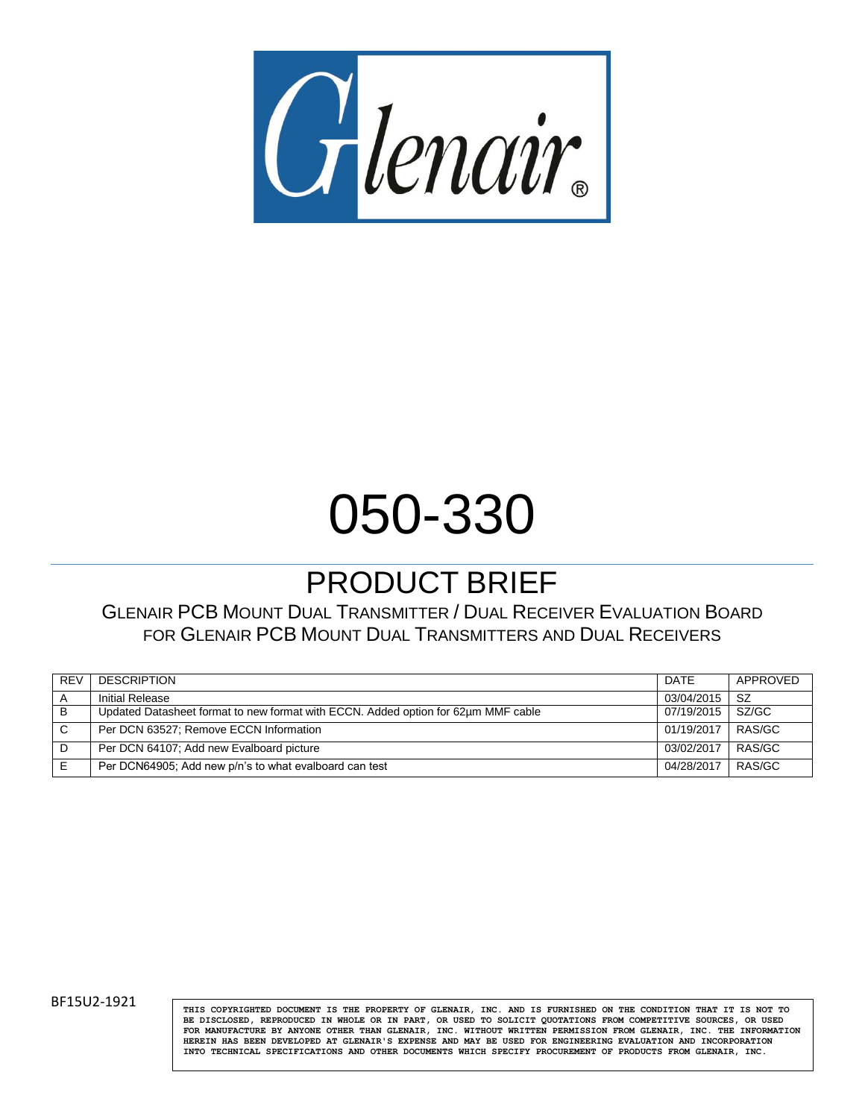

# 050-330

# PRODUCT BRIEF

#### GLENAIR PCB MOUNT DUAL TRANSMITTER / DUAL RECEIVER EVALUATION BOARD FOR GLENAIR PCB MOUNT DUAL TRANSMITTERS AND DUAL RECEIVERS

| <b>REV</b> | <b>DESCRIPTION</b>                                                                | DATE       | APPROVED |
|------------|-----------------------------------------------------------------------------------|------------|----------|
|            | Initial Release                                                                   | 03/04/2015 | SZ.      |
| B          | Updated Datasheet format to new format with ECCN. Added option for 62um MMF cable | 07/19/2015 | SZ/GC    |
|            | Per DCN 63527; Remove ECCN Information                                            | 01/19/2017 | RAS/GC   |
|            | Per DCN 64107; Add new Evalboard picture                                          | 03/02/2017 | RAS/GC   |
|            | Per DCN64905; Add new p/n's to what evalboard can test                            | 04/28/2017 | RAS/GC   |

BF15U2-1921 **THIS COPYRIGHTED DOCUMENT IS THE PROPERTY** OF GLENAIR, INC. AND IS FURNISHED ON THE CONDITION THAT IT IS NOT TO **BE DISCLOSED, REPRODUCED IN WHOLE OR IN PART, OR USED TO SOLICIT QUOTATIONS FROM COMPETITIVE SOURCES, OR USED FOR MANUFACTURE BY ANYONE OTHER THAN GLENAIR, INC. WITHOUT WRITTEN PERMISSION FROM GLENAIR, INC. THE INFORMATION HEREIN HAS BEEN DEVELOPED AT GLENAIR'S EXPENSE AND MAY BE USED FOR ENGINEERING EVALUATION AND INCORPORATION INTO TECHNICAL SPECIFICATIONS AND OTHER DOCUMENTS WHICH SPECIFY PROCUREMENT OF PRODUCTS FROM GLENAIR, INC.**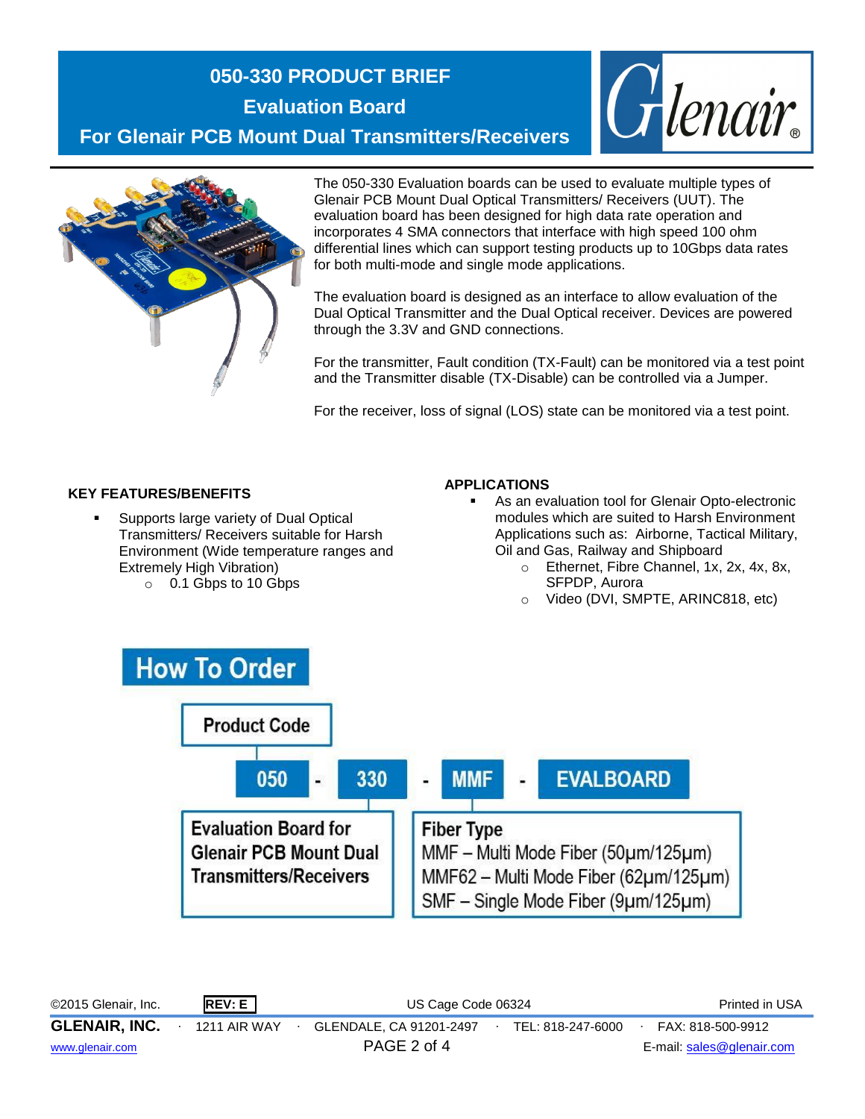# **050-330 PRODUCT BRIEF Evaluation Board For Glenair PCB Mount Dual Transmitters/Receivers**





The 050-330 Evaluation boards can be used to evaluate multiple types of Glenair PCB Mount Dual Optical Transmitters/ Receivers (UUT). The evaluation board has been designed for high data rate operation and incorporates 4 SMA connectors that interface with high speed 100 ohm differential lines which can support testing products up to 10Gbps data rates for both multi-mode and single mode applications.

The evaluation board is designed as an interface to allow evaluation of the Dual Optical Transmitter and the Dual Optical receiver. Devices are powered through the 3.3V and GND connections.

For the transmitter, Fault condition (TX-Fault) can be monitored via a test point and the Transmitter disable (TX-Disable) can be controlled via a Jumper.

For the receiver, loss of signal (LOS) state can be monitored via a test point.

#### **KEY FEATURES/BENEFITS**

- Supports large variety of Dual Optical Transmitters/ Receivers suitable for Harsh Environment (Wide temperature ranges and Extremely High Vibration)
	- o 0.1 Gbps to 10 Gbps

#### **APPLICATIONS**

- As an evaluation tool for Glenair Opto-electronic modules which are suited to Harsh Environment Applications such as: Airborne, Tactical Military, Oil and Gas, Railway and Shipboard
	- o Ethernet, Fibre Channel, 1x, 2x, 4x, 8x, SFPDP, Aurora
	- o Video (DVI, SMPTE, ARINC818, etc)



©2015 Glenair, Inc. **REV: E** US Cage Code 06324 Printed in USA **GLENAIR, INC.** ∙ 1211 AIR WAY ∙ GLENDALE, CA 91201-2497∙ TEL: 818-247-6000∙ FAX: 818-500-9912 [www.glenair.com](http://www.glenair.com/) PAGE 2 of 4 E-mail: [sales@glenair.com](mailto:sales@glenair.com)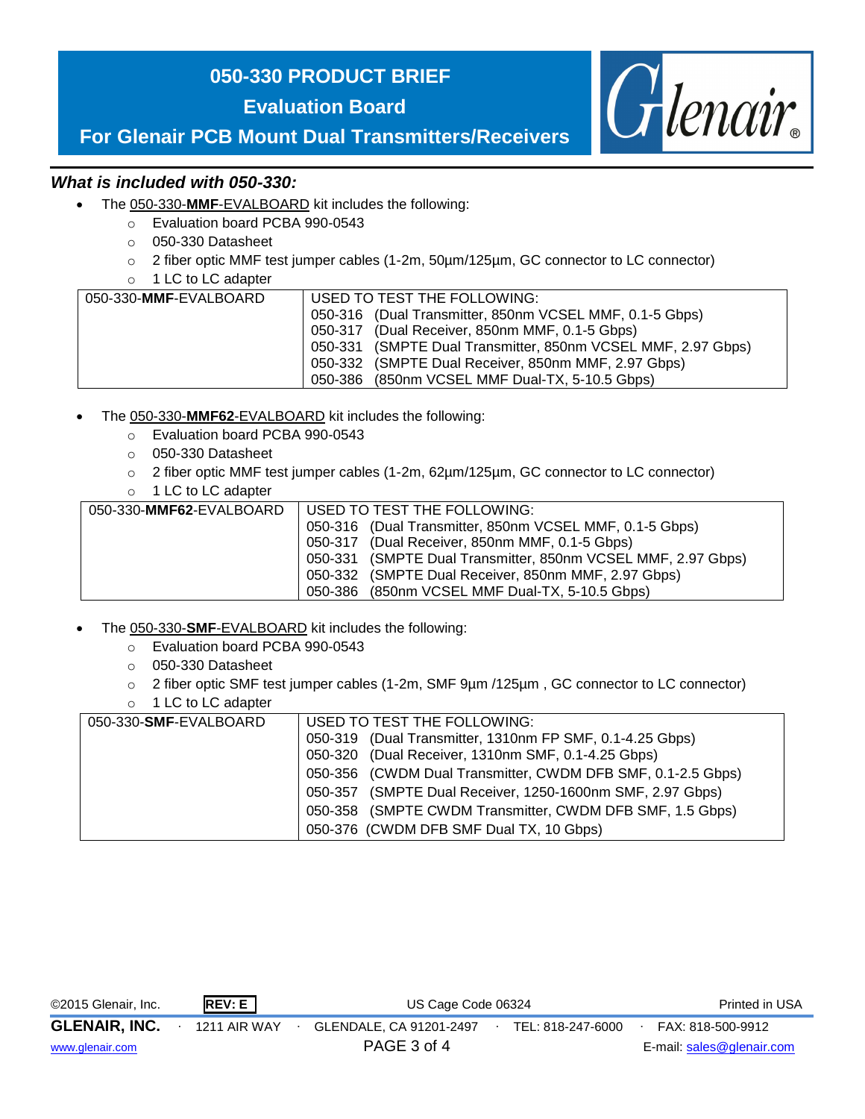## **050-330 PRODUCT BRIEF**

**Evaluation Board**



# **For Glenair PCB Mount Dual Transmitters/Receivers**

#### *What is included with 050-330:*

- The 050-330-**MMF**-EVALBOARD kit includes the following:
	- o Evaluation board PCBA 990-0543
	- o 050-330 Datasheet
	- o 2 fiber optic MMF test jumper cables (1-2m, 50µm/125µm, GC connector to LC connector)
	- o 1 LC to LC adapter

| USED TO TEST THE FOLLOWING:                                  |
|--------------------------------------------------------------|
| 050-316 (Dual Transmitter, 850nm VCSEL MMF, 0.1-5 Gbps)      |
| 050-317 (Dual Receiver, 850nm MMF, 0.1-5 Gbps)               |
| 050-331 (SMPTE Dual Transmitter, 850nm VCSEL MMF, 2.97 Gbps) |
| 050-332 (SMPTE Dual Receiver, 850nm MMF, 2.97 Gbps)          |
| 050-386 (850nm VCSEL MMF Dual-TX, 5-10.5 Gbps)               |
|                                                              |

- The 050-330-**MMF62**-EVALBOARD kit includes the following:
	- o Evaluation board PCBA 990-0543
	- o 050-330 Datasheet
	- $\circ$  2 fiber optic MMF test jumper cables (1-2m, 62µm/125µm, GC connector to LC connector)
	- o 1 LC to LC adapter

| 050-330-MMF62-EVALBOARD | USED TO TEST THE FOLLOWING:                                  |
|-------------------------|--------------------------------------------------------------|
|                         | 050-316 (Dual Transmitter, 850nm VCSEL MMF, 0.1-5 Gbps)      |
|                         | 050-317 (Dual Receiver, 850nm MMF, 0.1-5 Gbps)               |
|                         | 050-331 (SMPTE Dual Transmitter, 850nm VCSEL MMF, 2.97 Gbps) |
|                         | 050-332 (SMPTE Dual Receiver, 850nm MMF, 2.97 Gbps)          |
|                         | 050-386 (850nm VCSEL MMF Dual-TX, 5-10.5 Gbps)               |

- The 050-330-**SMF**-EVALBOARD kit includes the following:
	- o Evaluation board PCBA 990-0543
	- o 050-330 Datasheet
	- o 2 fiber optic SMF test jumper cables (1-2m, SMF 9µm /125µm , GC connector to LC connector)
	- o 1 LC to LC adapter

| 050-330-SMF-EVALBOARD | USED TO TEST THE FOLLOWING:                                 |
|-----------------------|-------------------------------------------------------------|
|                       | 050-319 (Dual Transmitter, 1310nm FP SMF, 0.1-4.25 Gbps)    |
|                       | 050-320 (Dual Receiver, 1310nm SMF, 0.1-4.25 Gbps)          |
|                       | 050-356 (CWDM Dual Transmitter, CWDM DFB SMF, 0.1-2.5 Gbps) |
|                       | 050-357 (SMPTE Dual Receiver, 1250-1600nm SMF, 2.97 Gbps)   |
|                       | 050-358 (SMPTE CWDM Transmitter, CWDM DFB SMF, 1.5 Gbps)    |
|                       | 050-376 (CWDM DFB SMF Dual TX, 10 Gbps)                     |

| ©2015 Glenair, Inc.  |  | REV: E              | US Cage Code 06324      |  |                   | Printed in USA |                           |  |
|----------------------|--|---------------------|-------------------------|--|-------------------|----------------|---------------------------|--|
| <b>GLENAIR, INC.</b> |  | <b>1211 AIR WAY</b> | GLENDALE, CA 91201-2497 |  | TEL: 818-247-6000 |                | FAX: 818-500-9912         |  |
| www.glenair.com      |  |                     | PAGE 3 of 4             |  |                   |                | E-mail: sales@glenair.com |  |